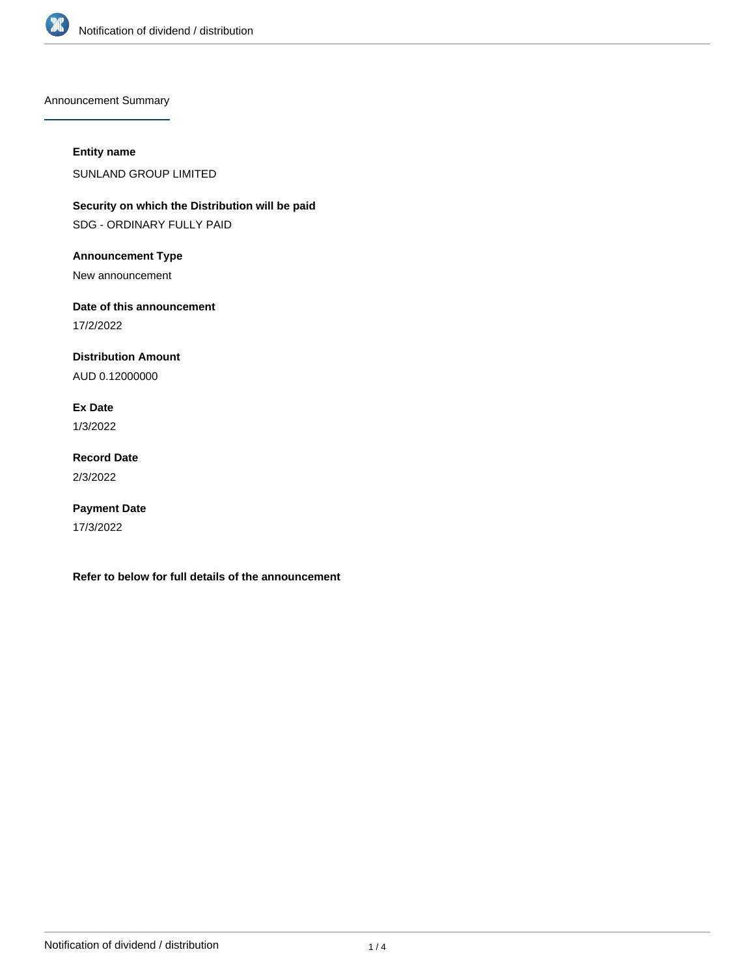

Announcement Summary

## **Entity name**

SUNLAND GROUP LIMITED

**Security on which the Distribution will be paid** SDG - ORDINARY FULLY PAID

**Announcement Type**

New announcement

**Date of this announcement**

17/2/2022

**Distribution Amount**

AUD 0.12000000

**Ex Date**

1/3/2022

**Record Date** 2/3/2022

**Payment Date** 17/3/2022

**Refer to below for full details of the announcement**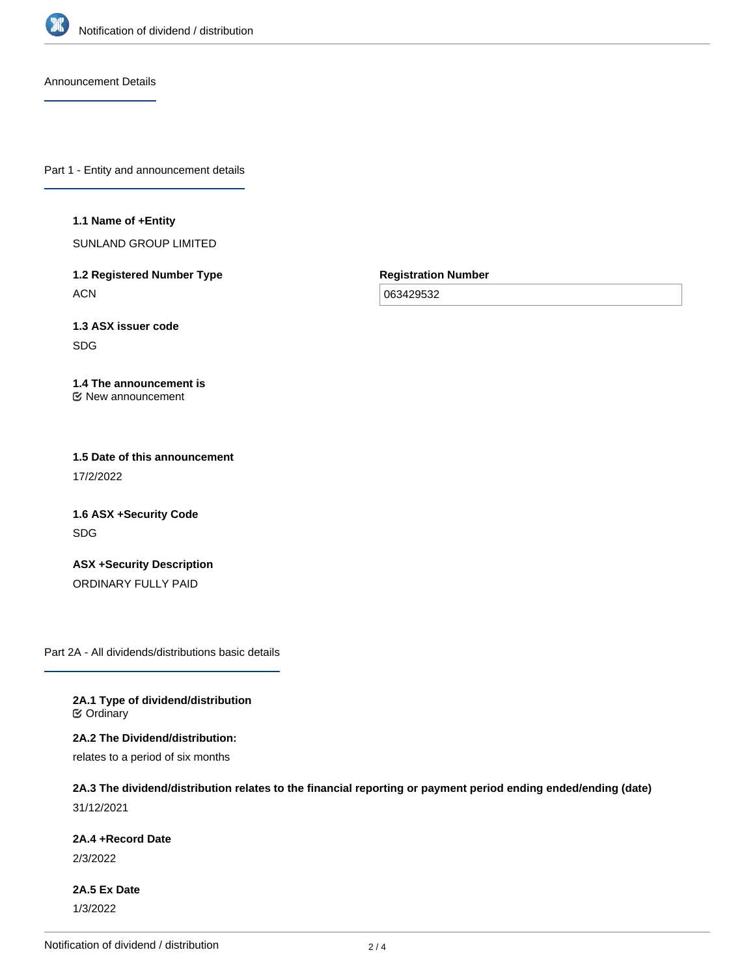

Announcement Details

Part 1 - Entity and announcement details

#### **1.1 Name of +Entity**

SUNLAND GROUP LIMITED

**1.2 Registered Number Type ACN** 

**Registration Number**

063429532

**1.3 ASX issuer code** SDG

#### **1.4 The announcement is** New announcement

**1.5 Date of this announcement** 17/2/2022

**1.6 ASX +Security Code** SDG

**ASX +Security Description** ORDINARY FULLY PAID

Part 2A - All dividends/distributions basic details

**2A.1 Type of dividend/distribution C** Ordinary

**2A.2 The Dividend/distribution:**

relates to a period of six months

# **2A.3 The dividend/distribution relates to the financial reporting or payment period ending ended/ending (date)** 31/12/2021

**2A.4 +Record Date**

2/3/2022

**2A.5 Ex Date** 1/3/2022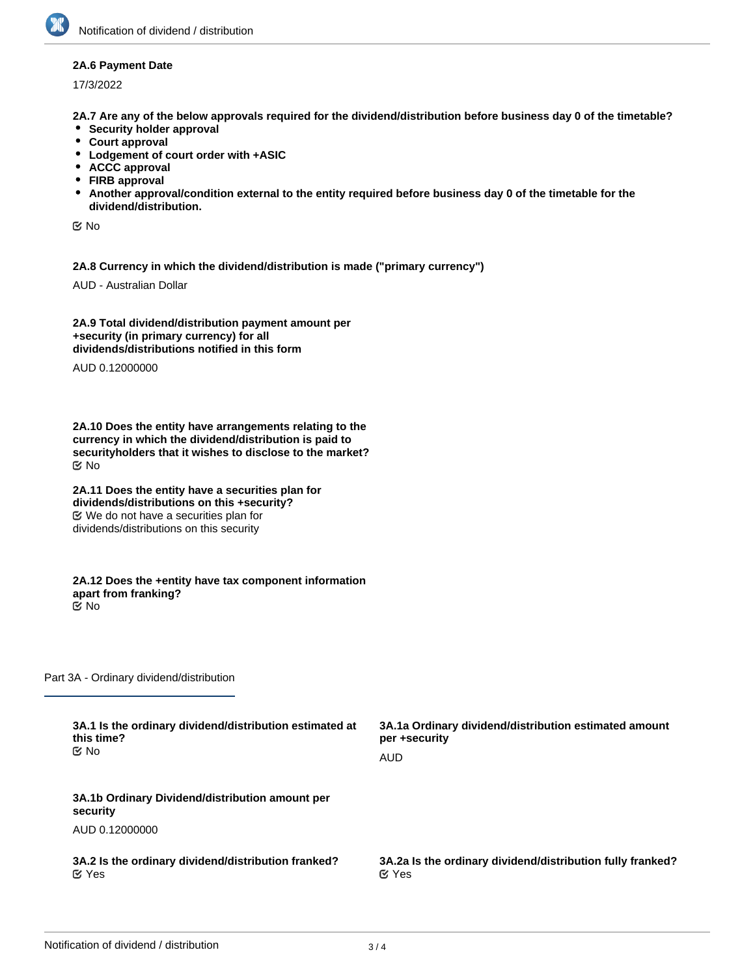### **2A.6 Payment Date**

17/3/2022

**2A.7 Are any of the below approvals required for the dividend/distribution before business day 0 of the timetable?**

- **•** Security holder approval
- **Court approval**
- **Lodgement of court order with +ASIC**
- **ACCC approval**
- **FIRB approval**
- **Another approval/condition external to the entity required before business day 0 of the timetable for the dividend/distribution.**

No

**2A.8 Currency in which the dividend/distribution is made ("primary currency")**

AUD - Australian Dollar

**2A.9 Total dividend/distribution payment amount per +security (in primary currency) for all dividends/distributions notified in this form**

AUD 0.12000000

**2A.10 Does the entity have arrangements relating to the currency in which the dividend/distribution is paid to securityholders that it wishes to disclose to the market?** No

**2A.11 Does the entity have a securities plan for dividends/distributions on this +security?** We do not have a securities plan for dividends/distributions on this security

**2A.12 Does the +entity have tax component information apart from franking?** No

Part 3A - Ordinary dividend/distribution

| 3A.1 Is the ordinary dividend/distribution estimated at<br>this time?<br><b>≝</b> No | 3A.1a Ordinary dividend/distribution estimated amount<br>per +security<br>AUD |
|--------------------------------------------------------------------------------------|-------------------------------------------------------------------------------|
| 3A.1b Ordinary Dividend/distribution amount per<br>security                          |                                                                               |
| AUD 0.12000000                                                                       |                                                                               |
| 3A.2 Is the ordinary dividend/distribution franked?<br>$\alpha$ Yes                  | 3A.2a Is the ordinary dividend/distribution fully franked?<br>$\alpha$ Yes    |